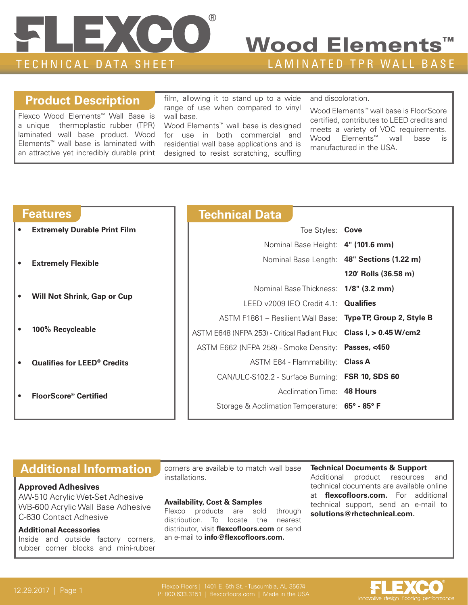

## Wood Elements<sup>™</sup>

#### **Product Description**

Flexco Wood Elements™ Wall Base is a unique thermoplastic rubber (TPR) laminated wall base product. Wood Elements™ wall base is laminated with an attractive yet incredibly durable print film, allowing it to stand up to a wide range of use when compared to vinyl wall base.

Wood Elements™ wall base is designed for use in both commercial and residential wall base applications and is designed to resist scratching, scuffing and discoloration.

Wood Elements™ wall base is FloorScore certified, contributes to LEED credits and meets a variety of VOC requirements. Wood Elements™ wall base is manufactured in the USA.

| <b>Features</b> |                                               |  | <b>Technical Data</b>                                               |                                            |
|-----------------|-----------------------------------------------|--|---------------------------------------------------------------------|--------------------------------------------|
| $\bullet$       | <b>Extremely Durable Print Film</b>           |  | Toe Styles: Cove                                                    |                                            |
|                 |                                               |  | Nominal Base Height: 4" (101.6 mm)                                  |                                            |
|                 | <b>Extremely Flexible</b>                     |  |                                                                     | Nominal Base Length: 48" Sections (1.22 m) |
|                 |                                               |  |                                                                     | 120' Rolls (36.58 m)                       |
|                 | <b>Will Not Shrink, Gap or Cup</b>            |  | Nominal Base Thickness: 1/8" (3.2 mm)                               |                                            |
|                 |                                               |  | LEED $v2009$ IEQ Credit 4.1: Qualifies                              |                                            |
|                 | 100% Recycleable                              |  | ASTM F1861 - Resilient Wall Base: Type TP, Group 2, Style B         |                                            |
|                 |                                               |  | ASTM E648 (NFPA 253) - Critical Radiant Flux: Class I, > 0.45 W/cm2 |                                            |
|                 |                                               |  | ASTM E662 (NFPA 258) - Smoke Density: Passes, <450                  |                                            |
|                 | <b>Qualifies for LEED<sup>®</sup> Credits</b> |  | ASTM E84 - Flammability: Class A                                    |                                            |
|                 |                                               |  | CAN/ULC-S102.2 - Surface Burning: FSR 10, SDS 60                    |                                            |
|                 | <b>FloorScore® Certified</b>                  |  | Acclimation Time: 48 Hours                                          |                                            |
|                 |                                               |  | Storage & Acclimation Temperature: 65° - 85° F                      |                                            |
|                 |                                               |  |                                                                     |                                            |

#### **Additional Information**

#### **Approved Adhesives**

AW-510 Acrylic Wet-Set Adhesive WB-600 Acrylic Wall Base Adhesive C-630 Contact Adhesive

#### **Additional Accessories**

Inside and outside factory corners, rubber corner blocks and mini-rubber

corners are available to match wall base installations.

#### **Availability, Cost & Samples**

Flexco products are sold through distribution. To locate the nearest distributor, visit **flexcofloors.com** or send an e-mail to **info@flexcofloors.com.**

#### **Technical Documents & Support** Additional product resources and technical documents are available online at **flexcofloors.com.** For additional technical support, send an e-mail to **solutions@rhctechnical.com.**

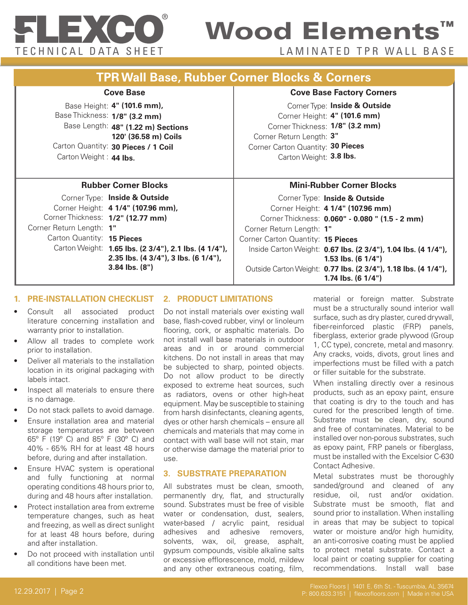

## Wood Elements™

TECHNICAL DATA SHEET LAMINATED TPR WALL BASE

| <b>Cove Base</b>                                                                                                                                                                                                                                                                      | <b>Cove Base Factory Corners</b>                                                                                                                                                                                                                                                                                                                                         |  |
|---------------------------------------------------------------------------------------------------------------------------------------------------------------------------------------------------------------------------------------------------------------------------------------|--------------------------------------------------------------------------------------------------------------------------------------------------------------------------------------------------------------------------------------------------------------------------------------------------------------------------------------------------------------------------|--|
| Base Height: 4" (101.6 mm),<br>Base Thickness: 1/8" (3.2 mm)<br>Base Length: 48" (1.22 m) Sections<br>120' (36.58 m) Coils<br>Carton Quantity: 30 Pieces / 1 Coil<br>Carton Weight: 44 lbs.                                                                                           | Corner Type: Inside & Outside<br>Corner Height: 4" (101.6 mm)<br>Corner Thickness: 1/8" (3.2 mm)<br>Corner Return Length: 3"<br>Corner Carton Quantity: 30 Pieces<br>Carton Weight: 3.8 lbs.                                                                                                                                                                             |  |
| <b>Rubber Corner Blocks</b>                                                                                                                                                                                                                                                           | <b>Mini-Rubber Corner Blocks</b>                                                                                                                                                                                                                                                                                                                                         |  |
| Corner Type: Inside & Outside<br>Corner Height: 4 1/4" (107.96 mm),<br>Corner Thickness: 1/2" (12.77 mm)<br>Corner Return Length: 1"<br>Carton Quantity: 15 Pieces<br>Carton Weight: 1.65 lbs. (2 3/4"), 2.1 lbs. (4 1/4"),<br>2.35 lbs. (4 3/4"), 3 lbs. (6 1/4"),<br>3.84 lbs. (8") | Corner Type: Inside & Outside<br>Corner Height: 4 1/4" (107.96 mm)<br>Corner Thickness: 0.060" - 0.080 " (1.5 - 2 mm)<br>Corner Return Length: 1"<br>Corner Carton Quantity: 15 Pieces<br>Inside Carton Weight: 0.67 lbs. (2 3/4"), 1.04 lbs. (4 1/4"),<br>1.53 lbs. $(6 1/4")$<br>Outside Carton Weight: 0.77 lbs. (2 3/4"), 1.18 lbs. (4 1/4"),<br>1.74 lbs. $(61/4")$ |  |

#### **1. PRE-II 2. PRODUCT LIMITATIONS**

- Consult all associated product literature concerning installation and warranty prior to installation.
- Allow all trades to complete work prior to installation.
- Deliver all materials to the installation location in its original packaging with labels intact.
- Inspect all materials to ensure there is no damage.
- Do not stack pallets to avoid damage.
- Ensure installation area and material storage temperatures are between 65º F (19º C) and 85º F (30º C) and 40% - 65% RH for at least 48 hours before, during and after installation.
- Ensure HVAC system is operational and fully functioning at normal operating conditions 48 hours prior to, during and 48 hours after installation.
- Protect installation area from extreme temperature changes, such as heat and freezing, as well as direct sunlight for at least 48 hours before, during and after installation.
- Do not proceed with installation until all conditions have been met.

Do not install materials over existing wall base, flash-coved rubber, vinyl or linoleum flooring, cork, or asphaltic materials. Do not install wall base materials in outdoor areas and in or around commercial kitchens. Do not install in areas that may be subjected to sharp, pointed objects. Do not allow product to be directly exposed to extreme heat sources, such as radiators, ovens or other high-heat equipment. May be susceptible to staining from harsh disinfectants, cleaning agents, dyes or other harsh chemicals – ensure all chemicals and materials that may come in contact with wall base will not stain, mar or otherwise damage the material prior to use.

#### **3. SUBSTRATE PREPARATION**

All substrates must be clean, smooth, permanently dry, flat, and structurally sound. Substrates must be free of visible water or condensation, dust, sealers, water-based / acrylic paint, residual adhesives and adhesive removers, solvents, wax, oil, grease, asphalt, gypsum compounds, visible alkaline salts or excessive efflorescence, mold, mildew and any other extraneous coating, film,

Substrate must be a structurally sound interior wall surface, such as dry plaster, cured drywall, fiber-reinforced plastic (FRP) panels, fiberglass, exterior grade plywood (Group 1, CC type), concrete, metal and masonry. Any cracks, voids, divots, grout lines and imperfections must be filled with a patch or filler suitable for the substrate.

When installing directly over a resinous products, such as an epoxy paint, ensure that coating is dry to the touch and has cured for the prescribed length of time. Substrate must be clean, dry, sound and free of contaminates. Material to be installed over non-porous substrates, such as epoxy paint, FRP panels or fiberglass, must be installed with the Excelsior C-630 Contact Adhesive.

Metal substrates must be thoroughly sanded/ground and cleaned of any residue, oil, rust and/or oxidation. Substrate must be smooth, flat and sound prior to installation. When installing in areas that may be subject to topical water or moisture and/or high humidity, an anti-corrosive coating must be applied to protect metal substrate. Contact a local paint or coating supplier for coating recommendations. Install wall base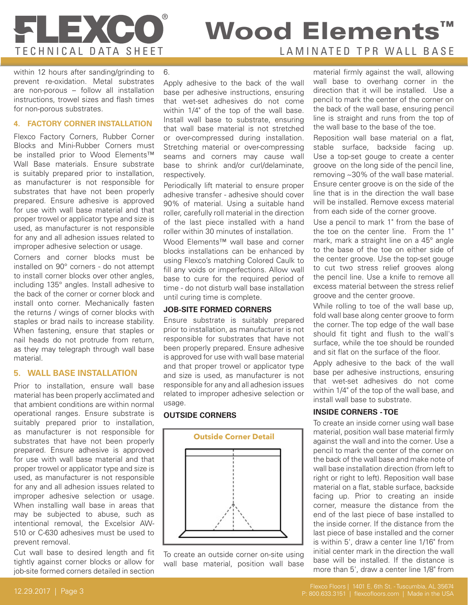# **FLEXCC**

### TECHNICAL DATA SHEET LAMINATED TPR WALL BASE Wood Elements<sup>™</sup>

within 12 hours after sanding/grinding to prevent re-oxidation. Metal substrates are non-porous – follow all installation instructions, trowel sizes and flash times for non-porous substrates.

#### **4. FACTORY CORNER INSTALLATION**

Flexco Factory Corners, Rubber Corner Blocks and Mini-Rubber Corners must be installed prior to Wood Elements™ Wall Base materials. Ensure substrate is suitably prepared prior to installation, as manufacturer is not responsible for substrates that have not been properly prepared. Ensure adhesive is approved for use with wall base material and that proper trowel or applicator type and size is used, as manufacturer is not responsible for any and all adhesion issues related to improper adhesive selection or usage.

Corners and corner blocks must be installed on 90° corners - do not attempt to install corner blocks over other angles, including 135° angles. Install adhesive to the back of the corner or corner block and install onto corner. Mechanically fasten the returns / wings of corner blocks with staples or brad nails to increase stability. When fastening, ensure that staples or nail heads do not protrude from return, as they may telegraph through wall base material.

#### **5. WALL BASE INSTALLATION**

Prior to installation, ensure wall base material has been properly acclimated and that ambient conditions are within normal operational ranges. Ensure substrate is suitably prepared prior to installation, as manufacturer is not responsible for substrates that have not been properly prepared. Ensure adhesive is approved for use with wall base material and that proper trowel or applicator type and size is used, as manufacturer is not responsible for any and all adhesion issues related to improper adhesive selection or usage. When installing wall base in areas that may be subjected to abuse, such as intentional removal, the Excelsior AW-510 or C-630 adhesives must be used to prevent removal.

Cut wall base to desired length and fit tightly against corner blocks or allow for job-site formed corners detailed in section

6.

Apply adhesive to the back of the wall base per adhesive instructions, ensuring that wet-set adhesives do not come within 1/4" of the top of the wall base. Install wall base to substrate, ensuring that wall base material is not stretched or over-compressed during installation. Stretching material or over-compressing seams and corners may cause wall base to shrink and/or curl/delaminate, respectively.

Periodically lift material to ensure proper adhesive transfer - adhesive should cover 90% of material. Using a suitable hand roller, carefully roll material in the direction of the last piece installed with a hand roller within 30 minutes of installation.

Wood Elements™ wall base and corner blocks installations can be enhanced by using Flexco's matching Colored Caulk to fill any voids or imperfections. Allow wall base to cure for the required period of time - do not disturb wall base installation until curing time is complete.

#### **JOB-SITE FORMED CORNERS**

Ensure substrate is suitably prepared prior to installation, as manufacturer is not responsible for substrates that have not been properly prepared. Ensure adhesive is approved for use with wall base material and that proper trowel or applicator type and size is used, as manufacturer is not responsible for any and all adhesion issues related to improper adhesive selection or usage.

#### **OUTSIDE CORNERS**



To create an outside corner on-site using wall base material, position wall base

material firmly against the wall, allowing wall base to overhang corner in the direction that it will be installed. Use a pencil to mark the center of the corner on the back of the wall base, ensuring pencil line is straight and runs from the top of the wall base to the base of the toe.

Reposition wall base material on a flat, stable surface, backside facing up. Use a top-set gouge to create a center groove on the long side of the pencil line, removing ~30% of the wall base material. Ensure center groove is on the side of the line that is in the direction the wall base will be installed. Remove excess material from each side of the corner groove.

Use a pencil to mark 1" from the base of the toe on the center line. From the 1" mark, mark a straight line on a 45° angle to the base of the toe on either side of the center groove. Use the top-set gouge to cut two stress relief grooves along the pencil line. Use a knife to remove all excess material between the stress relief groove and the center groove.

While rolling to toe of the wall base up, fold wall base along center groove to form the corner. The top edge of the wall base should fit tight and flush to the wall's surface, while the toe should be rounded and sit flat on the surface of the floor.

Apply adhesive to the back of the wall base per adhesive instructions, ensuring that wet-set adhesives do not come within 1/4" of the top of the wall base, and install wall base to substrate.

#### **INSIDE CORNERS - TOE**

To create an inside corner using wall base material, position wall base material firmly against the wall and into the corner. Use a pencil to mark the center of the corner on the back of the wall base and make note of wall base installation direction (from left to right or right to left). Reposition wall base material on a flat, stable surface, backside facing up. Prior to creating an inside corner, measure the distance from the end of the last piece of base installed to the inside corner. If the distance from the last piece of base installed and the corner is within 5', draw a center line 1/16" from initial center mark in the direction the wall base will be installed. If the distance is more than 5', draw a center line 1/8" from